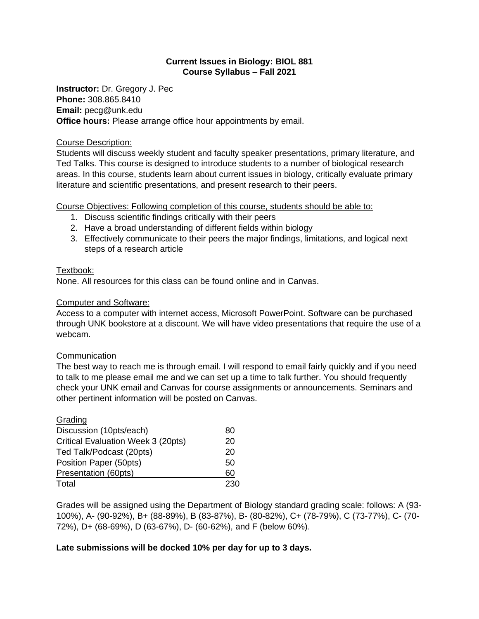# **Current Issues in Biology: BIOL 881 Course Syllabus – Fall 2021**

**Instructor:** Dr. Gregory J. Pec **Phone:** 308.865.8410 **Email:** pecg@unk.edu **Office hours:** Please arrange office hour appointments by email.

## Course Description:

Students will discuss weekly student and faculty speaker presentations, primary literature, and Ted Talks. This course is designed to introduce students to a number of biological research areas. In this course, students learn about current issues in biology, critically evaluate primary literature and scientific presentations, and present research to their peers.

# Course Objectives: Following completion of this course, students should be able to:

- 1. Discuss scientific findings critically with their peers
- 2. Have a broad understanding of different fields within biology
- 3. Effectively communicate to their peers the major findings, limitations, and logical next steps of a research article

# Textbook:

None. All resources for this class can be found online and in Canvas.

# Computer and Software:

Access to a computer with internet access, Microsoft PowerPoint. Software can be purchased through UNK bookstore at a discount. We will have video presentations that require the use of a webcam.

# **Communication**

The best way to reach me is through email. I will respond to email fairly quickly and if you need to talk to me please email me and we can set up a time to talk further. You should frequently check your UNK email and Canvas for course assignments or announcements. Seminars and other pertinent information will be posted on Canvas.

| Grading                            |     |
|------------------------------------|-----|
| Discussion (10pts/each)            | 80  |
| Critical Evaluation Week 3 (20pts) | 20  |
| Ted Talk/Podcast (20pts)           | 20  |
| Position Paper (50pts)             | 50  |
| Presentation (60pts)               | 60  |
| Total                              | 230 |

Grades will be assigned using the Department of Biology standard grading scale: follows: A (93- 100%), A- (90-92%), B+ (88-89%), B (83-87%), B- (80-82%), C+ (78-79%), C (73-77%), C- (70- 72%), D+ (68-69%), D (63-67%), D- (60-62%), and F (below 60%).

# **Late submissions will be docked 10% per day for up to 3 days.**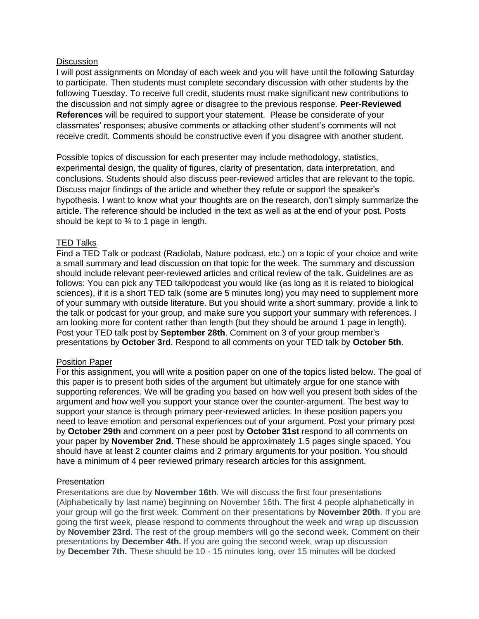## **Discussion**

I will post assignments on Monday of each week and you will have until the following Saturday to participate. Then students must complete secondary discussion with other students by the following Tuesday. To receive full credit, students must make significant new contributions to the discussion and not simply agree or disagree to the previous response. **Peer-Reviewed References** will be required to support your statement. Please be considerate of your classmates' responses; abusive comments or attacking other student's comments will not receive credit. Comments should be constructive even if you disagree with another student.

Possible topics of discussion for each presenter may include methodology, statistics, experimental design, the quality of figures, clarity of presentation, data interpretation, and conclusions. Students should also discuss peer-reviewed articles that are relevant to the topic. Discuss major findings of the article and whether they refute or support the speaker's hypothesis. I want to know what your thoughts are on the research, don't simply summarize the article. The reference should be included in the text as well as at the end of your post. Posts should be kept to ¾ to 1 page in length.

# TED Talks

Find a TED Talk or podcast (Radiolab, Nature podcast, etc.) on a topic of your choice and write a small summary and lead discussion on that topic for the week. The summary and discussion should include relevant peer-reviewed articles and critical review of the talk. Guidelines are as follows: You can pick any TED talk/podcast you would like (as long as it is related to biological sciences), if it is a short TED talk (some are 5 minutes long) you may need to supplement more of your summary with outside literature. But you should write a short summary, provide a link to the talk or podcast for your group, and make sure you support your summary with references. I am looking more for content rather than length (but they should be around 1 page in length). Post your TED talk post by **September 28th**. Comment on 3 of your group member's presentations by **October 3rd**. Respond to all comments on your TED talk by **October 5th**.

#### Position Paper

For this assignment, you will write a position paper on one of the topics listed below. The goal of this paper is to present both sides of the argument but ultimately argue for one stance with supporting references. We will be grading you based on how well you present both sides of the argument and how well you support your stance over the counter-argument. The best way to support your stance is through primary peer-reviewed articles. In these position papers you need to leave emotion and personal experiences out of your argument. Post your primary post by **October 29th** and comment on a peer post by **October 31st** respond to all comments on your paper by **November 2nd**. These should be approximately 1.5 pages single spaced. You should have at least 2 counter claims and 2 primary arguments for your position. You should have a minimum of 4 peer reviewed primary research articles for this assignment.

#### **Presentation**

Presentations are due by **November 16th**. We will discuss the first four presentations (Alphabetically by last name) beginning on November 16th. The first 4 people alphabetically in your group will go the first week. Comment on their presentations by **November 20th**. If you are going the first week, please respond to comments throughout the week and wrap up discussion by **November 23rd**. The rest of the group members will go the second week. Comment on their presentations by **December 4th.** If you are going the second week, wrap up discussion by **December 7th.** These should be 10 - 15 minutes long, over 15 minutes will be docked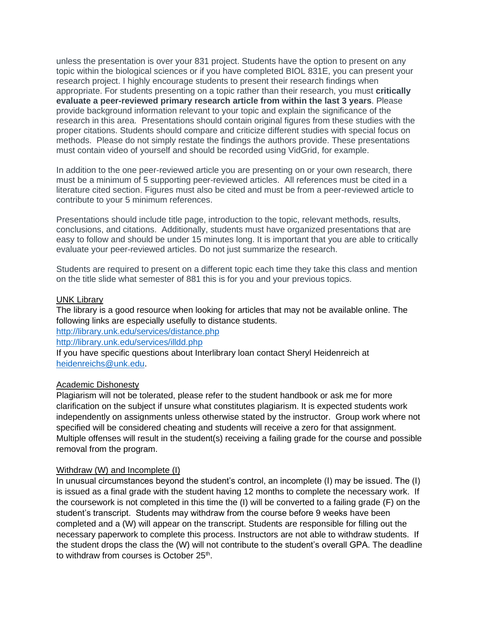unless the presentation is over your 831 project. Students have the option to present on any topic within the biological sciences or if you have completed BIOL 831E, you can present your research project. I highly encourage students to present their research findings when appropriate. For students presenting on a topic rather than their research, you must **critically evaluate a peer-reviewed primary research article from within the last 3 years**. Please provide background information relevant to your topic and explain the significance of the research in this area. Presentations should contain original figures from these studies with the proper citations. Students should compare and criticize different studies with special focus on methods. Please do not simply restate the findings the authors provide. These presentations must contain video of yourself and should be recorded using VidGrid, for example.

In addition to the one peer-reviewed article you are presenting on or your own research, there must be a minimum of 5 supporting peer-reviewed articles. All references must be cited in a literature cited section. Figures must also be cited and must be from a peer-reviewed article to contribute to your 5 minimum references.

Presentations should include title page, introduction to the topic, relevant methods, results, conclusions, and citations. Additionally, students must have organized presentations that are easy to follow and should be under 15 minutes long. It is important that you are able to critically evaluate your peer-reviewed articles. Do not just summarize the research.

Students are required to present on a different topic each time they take this class and mention on the title slide what semester of 881 this is for you and your previous topics.

## UNK Library

The library is a good resource when looking for articles that may not be available online. The following links are especially usefully to distance students.

<http://library.unk.edu/services/distance.php>

<http://library.unk.edu/services/illdd.php>

If you have specific questions about Interlibrary loan contact Sheryl Heidenreich at [heidenreichs@unk.edu.](mailto:heidenreichs@unk.edu)

#### Academic Dishonesty

Plagiarism will not be tolerated, please refer to the student handbook or ask me for more clarification on the subject if unsure what constitutes plagiarism. It is expected students work independently on assignments unless otherwise stated by the instructor. Group work where not specified will be considered cheating and students will receive a zero for that assignment. Multiple offenses will result in the student(s) receiving a failing grade for the course and possible removal from the program.

# Withdraw (W) and Incomplete (I)

In unusual circumstances beyond the student's control, an incomplete (I) may be issued. The (I) is issued as a final grade with the student having 12 months to complete the necessary work. If the coursework is not completed in this time the (I) will be converted to a failing grade (F) on the student's transcript. Students may withdraw from the course before 9 weeks have been completed and a (W) will appear on the transcript. Students are responsible for filling out the necessary paperwork to complete this process. Instructors are not able to withdraw students. If the student drops the class the (W) will not contribute to the student's overall GPA. The deadline to withdraw from courses is October 25<sup>th</sup>.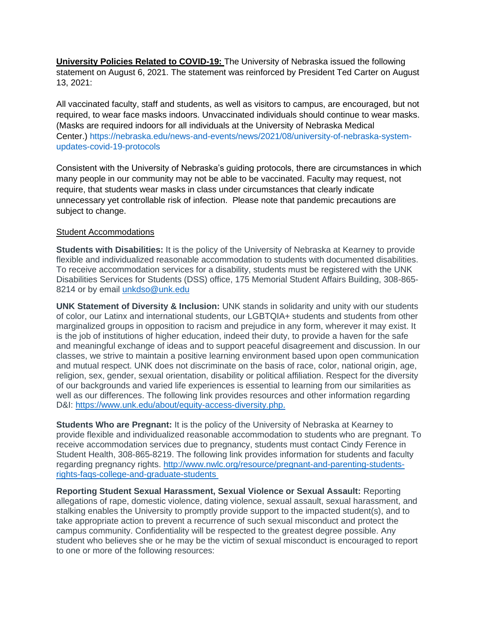**University Policies Related to COVID-19:** The University of Nebraska issued the following statement on August 6, 2021. The statement was reinforced by President Ted Carter on August 13, 2021:

All vaccinated faculty, staff and students, as well as visitors to campus, are encouraged, but not required, to wear face masks indoors. Unvaccinated individuals should continue to wear masks. (Masks are required indoors for all individuals at the University of Nebraska Medical Center.) [https://nebraska.edu/news-and-events/news/2021/08/university-of-nebraska-system](https://nebraska.edu/news-and-events/news/2021/08/university-of-nebraska-system-updates-covid-19-protocols)[updates-covid-19-protocols](https://nebraska.edu/news-and-events/news/2021/08/university-of-nebraska-system-updates-covid-19-protocols)

Consistent with the University of Nebraska's guiding protocols, there are circumstances in which many people in our community may not be able to be vaccinated. Faculty may request, not require, that students wear masks in class under circumstances that clearly indicate unnecessary yet controllable risk of infection. Please note that pandemic precautions are subject to change.

## Student Accommodations

**Students with Disabilities:** It is the policy of the University of Nebraska at Kearney to provide flexible and individualized reasonable accommodation to students with documented disabilities. To receive accommodation services for a disability, students must be registered with the UNK Disabilities Services for Students (DSS) office, 175 Memorial Student Affairs Building, 308-865- 8214 or by email unkdso@unk.edu

**UNK Statement of Diversity & Inclusion:** UNK stands in solidarity and unity with our students of color, our Latinx and international students, our LGBTQIA+ students and students from other marginalized groups in opposition to racism and prejudice in any form, wherever it may exist. It is the job of institutions of higher education, indeed their duty, to provide a haven for the safe and meaningful exchange of ideas and to support peaceful disagreement and discussion. In our classes, we strive to maintain a positive learning environment based upon open communication and mutual respect. UNK does not discriminate on the basis of race, color, national origin, age, religion, sex, gender, sexual orientation, disability or political affiliation. Respect for the diversity of our backgrounds and varied life experiences is essential to learning from our similarities as well as our differences. The following link provides resources and other information regarding D&I: <https://www.unk.edu/about/equity-access-diversity.php.>

**Students Who are Pregnant:** It is the policy of the University of Nebraska at Kearney to provide flexible and individualized reasonable accommodation to students who are pregnant. To receive accommodation services due to pregnancy, students must contact Cindy Ference in Student Health, 308-865-8219. The following link provides information for students and faculty regarding pregnancy rights. [http://www.nwlc.org/resource/pregnant-and-parenting-students](http://www.nwlc.org/resource/pregnant-and-parenting-students-rights-faqs-college-and-graduate-students )[rights-faqs-college-and-graduate-students](http://www.nwlc.org/resource/pregnant-and-parenting-students-rights-faqs-college-and-graduate-students )

**Reporting Student Sexual Harassment, Sexual Violence or Sexual Assault:** Reporting allegations of rape, domestic violence, dating violence, sexual assault, sexual harassment, and stalking enables the University to promptly provide support to the impacted student(s), and to take appropriate action to prevent a recurrence of such sexual misconduct and protect the campus community. Confidentiality will be respected to the greatest degree possible. Any student who believes she or he may be the victim of sexual misconduct is encouraged to report to one or more of the following resources: